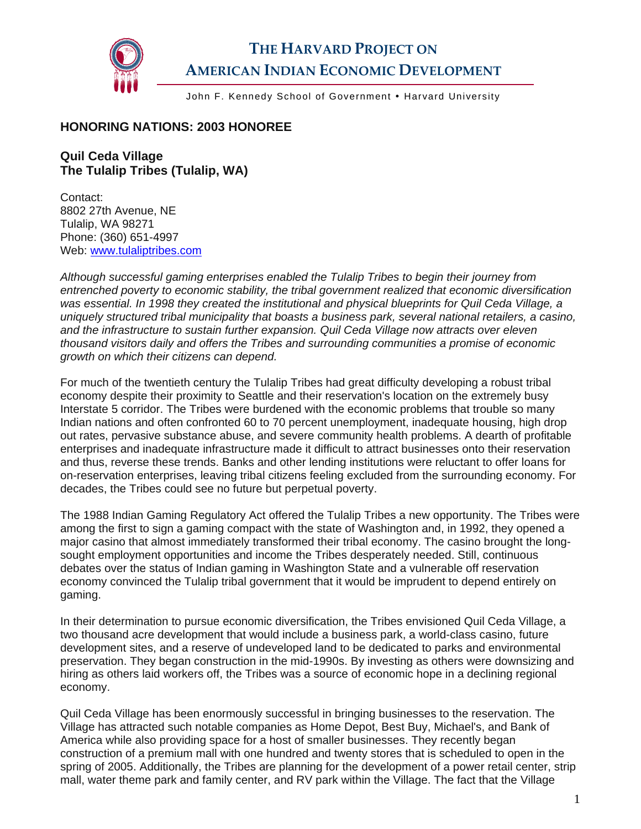

## **THE HARVARD PROJECT ON AMERICAN INDIAN ECONOMIC DEVELOPMENT**

John F. Kennedy School of Government • Harvard University

## **HONORING NATIONS: 2003 HONOREE**

## **Quil Ceda Village The Tulalip Tribes (Tulalip, WA)**

Contact: 8802 27th Avenue, NE Tulalip, WA 98271 Phone: (360) 651-4997 Web: [www.tulaliptribes.com](http://www.tulaliptribes.com/) 

*Although successful gaming enterprises enabled the Tulalip Tribes to begin their journey from entrenched poverty to economic stability, the tribal government realized that economic diversification was essential. In 1998 they created the institutional and physical blueprints for Quil Ceda Village, a uniquely structured tribal municipality that boasts a business park, several national retailers, a casino, and the infrastructure to sustain further expansion. Quil Ceda Village now attracts over eleven thousand visitors daily and offers the Tribes and surrounding communities a promise of economic growth on which their citizens can depend.* 

For much of the twentieth century the Tulalip Tribes had great difficulty developing a robust tribal economy despite their proximity to Seattle and their reservation's location on the extremely busy Interstate 5 corridor. The Tribes were burdened with the economic problems that trouble so many Indian nations and often confronted 60 to 70 percent unemployment, inadequate housing, high drop out rates, pervasive substance abuse, and severe community health problems. A dearth of profitable enterprises and inadequate infrastructure made it difficult to attract businesses onto their reservation and thus, reverse these trends. Banks and other lending institutions were reluctant to offer loans for on-reservation enterprises, leaving tribal citizens feeling excluded from the surrounding economy. For decades, the Tribes could see no future but perpetual poverty.

The 1988 Indian Gaming Regulatory Act offered the Tulalip Tribes a new opportunity. The Tribes were among the first to sign a gaming compact with the state of Washington and, in 1992, they opened a major casino that almost immediately transformed their tribal economy. The casino brought the longsought employment opportunities and income the Tribes desperately needed. Still, continuous debates over the status of Indian gaming in Washington State and a vulnerable off reservation economy convinced the Tulalip tribal government that it would be imprudent to depend entirely on gaming.

In their determination to pursue economic diversification, the Tribes envisioned Quil Ceda Village, a two thousand acre development that would include a business park, a world-class casino, future development sites, and a reserve of undeveloped land to be dedicated to parks and environmental preservation. They began construction in the mid-1990s. By investing as others were downsizing and hiring as others laid workers off, the Tribes was a source of economic hope in a declining regional economy.

Quil Ceda Village has been enormously successful in bringing businesses to the reservation. The Village has attracted such notable companies as Home Depot, Best Buy, Michael's, and Bank of America while also providing space for a host of smaller businesses. They recently began construction of a premium mall with one hundred and twenty stores that is scheduled to open in the spring of 2005. Additionally, the Tribes are planning for the development of a power retail center, strip mall, water theme park and family center, and RV park within the Village. The fact that the Village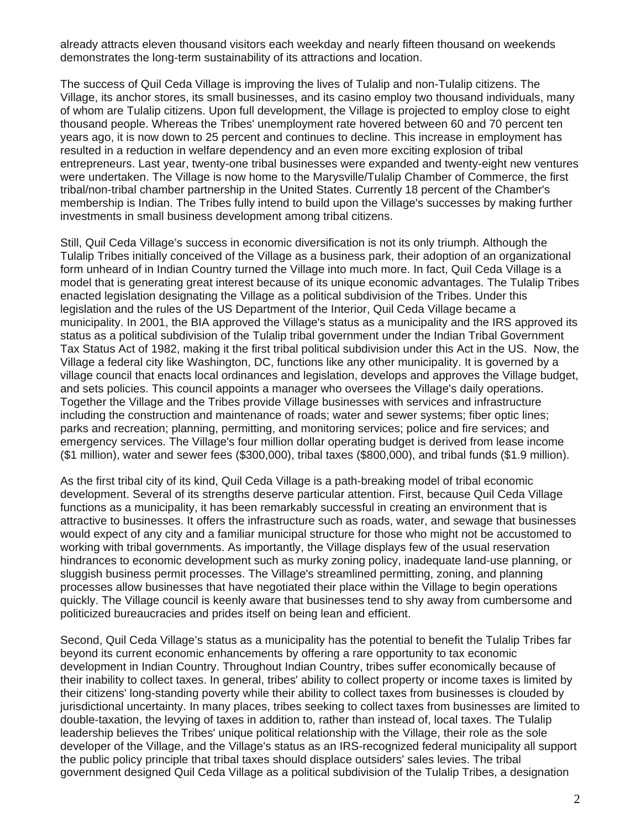already attracts eleven thousand visitors each weekday and nearly fifteen thousand on weekends demonstrates the long-term sustainability of its attractions and location.

The success of Quil Ceda Village is improving the lives of Tulalip and non-Tulalip citizens. The Village, its anchor stores, its small businesses, and its casino employ two thousand individuals, many of whom are Tulalip citizens. Upon full development, the Village is projected to employ close to eight thousand people. Whereas the Tribes' unemployment rate hovered between 60 and 70 percent ten years ago, it is now down to 25 percent and continues to decline. This increase in employment has resulted in a reduction in welfare dependency and an even more exciting explosion of tribal entrepreneurs. Last year, twenty-one tribal businesses were expanded and twenty-eight new ventures were undertaken. The Village is now home to the Marysville/Tulalip Chamber of Commerce, the first tribal/non-tribal chamber partnership in the United States. Currently 18 percent of the Chamber's membership is Indian. The Tribes fully intend to build upon the Village's successes by making further investments in small business development among tribal citizens.

Still, Quil Ceda Village's success in economic diversification is not its only triumph. Although the Tulalip Tribes initially conceived of the Village as a business park, their adoption of an organizational form unheard of in Indian Country turned the Village into much more. In fact, Quil Ceda Village is a model that is generating great interest because of its unique economic advantages. The Tulalip Tribes enacted legislation designating the Village as a political subdivision of the Tribes. Under this legislation and the rules of the US Department of the Interior, Quil Ceda Village became a municipality. In 2001, the BIA approved the Village's status as a municipality and the IRS approved its status as a political subdivision of the Tulalip tribal government under the Indian Tribal Government Tax Status Act of 1982, making it the first tribal political subdivision under this Act in the US. Now, the Village a federal city like Washington, DC, functions like any other municipality. It is governed by a village council that enacts local ordinances and legislation, develops and approves the Village budget, and sets policies. This council appoints a manager who oversees the Village's daily operations. Together the Village and the Tribes provide Village businesses with services and infrastructure including the construction and maintenance of roads; water and sewer systems; fiber optic lines; parks and recreation; planning, permitting, and monitoring services; police and fire services; and emergency services. The Village's four million dollar operating budget is derived from lease income (\$1 million), water and sewer fees (\$300,000), tribal taxes (\$800,000), and tribal funds (\$1.9 million).

As the first tribal city of its kind, Quil Ceda Village is a path-breaking model of tribal economic development. Several of its strengths deserve particular attention. First, because Quil Ceda Village functions as a municipality, it has been remarkably successful in creating an environment that is attractive to businesses. It offers the infrastructure such as roads, water, and sewage that businesses would expect of any city and a familiar municipal structure for those who might not be accustomed to working with tribal governments. As importantly, the Village displays few of the usual reservation hindrances to economic development such as murky zoning policy, inadequate land-use planning, or sluggish business permit processes. The Village's streamlined permitting, zoning, and planning processes allow businesses that have negotiated their place within the Village to begin operations quickly. The Village council is keenly aware that businesses tend to shy away from cumbersome and politicized bureaucracies and prides itself on being lean and efficient.

Second, Quil Ceda Village's status as a municipality has the potential to benefit the Tulalip Tribes far beyond its current economic enhancements by offering a rare opportunity to tax economic development in Indian Country. Throughout Indian Country, tribes suffer economically because of their inability to collect taxes. In general, tribes' ability to collect property or income taxes is limited by their citizens' long-standing poverty while their ability to collect taxes from businesses is clouded by jurisdictional uncertainty. In many places, tribes seeking to collect taxes from businesses are limited to double-taxation, the levying of taxes in addition to, rather than instead of, local taxes. The Tulalip leadership believes the Tribes' unique political relationship with the Village, their role as the sole developer of the Village, and the Village's status as an IRS-recognized federal municipality all support the public policy principle that tribal taxes should displace outsiders' sales levies. The tribal government designed Quil Ceda Village as a political subdivision of the Tulalip Tribes, a designation